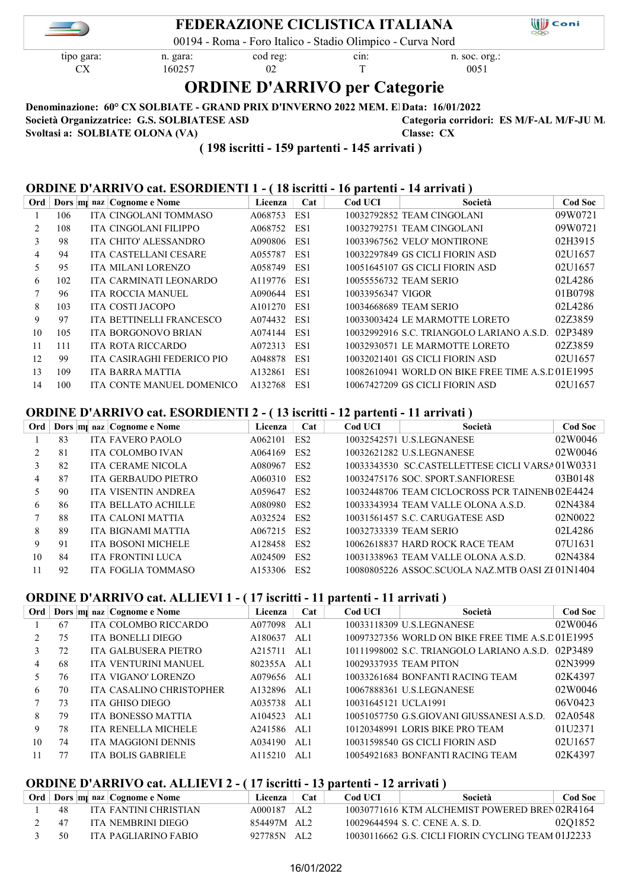

# FEDERAZIONE CICLISTICA ITALIANA

00194 - Roma - Foro Italico - Stadio Olimpico - Curva Nord

 $\overrightarrow{CX}$  160257 02 T 0051

tipo gara: n. gara: cod reg: cin: n. soc. org.:

**Will** Coni

# ORDINE D'ARRIVO per Categorie

Denominazione: 60° CX SOLBIATE - GRAND PRIX D'INVERNO 2022 MEM. El Data: 16/01/2022

Società Organizzatrice: G.S. SOLBIATESE ASD Categoria corridori: ES M/F-AL M/F-JU M/ Svoltasi a: SOLBIATE OLONA (VA) Classe: CX

( 198 iscritti - 159 partenti - 145 arrivati )

# ORDINE D'ARRIVO cat. ESORDIENTI 1 - ( 18 iscritti - 16 partenti - 14 arrivati )

| Ord |     | Dors m <sub>i</sub> naz Cognome e Nome | Licenza     | Cat | Cod UCI           | Società                                          | <b>Cod Soc</b> |
|-----|-----|----------------------------------------|-------------|-----|-------------------|--------------------------------------------------|----------------|
|     | 106 | ITA CINGOLANI TOMMASO                  | A068753     | ES1 |                   | 10032792852 TEAM CINGOLANI                       | 09W0721        |
|     | 108 | ITA CINGOLANI FILIPPO                  | A068752     | ES1 |                   | 10032792751 TEAM CINGOLANI                       | 09W0721        |
| 3   | 98  | ITA CHITO' ALESSANDRO                  | A090806     | ES1 |                   | 10033967562 VELO' MONTIRONE                      | 02H3915        |
| 4   | 94  | ITA CASTELLANI CESARE                  | A055787 ES1 |     |                   | 10032297849 GS CICLI FIORIN ASD                  | 02U1657        |
| 5   | 95  | <b>ITA MILANI LORENZO</b>              | A058749     | ES1 |                   | 10051645107 GS CICLI FIORIN ASD                  | 02U1657        |
| 6   | 102 | ITA CARMINATI LEONARDO                 | A119776 ES1 |     |                   | 10055556732 TEAM SERIO                           | 02L4286        |
|     | 96  | <b>ITA ROCCIA MANUEL</b>               | A090644     | ES1 | 10033956347 VIGOR |                                                  | 01B0798        |
| 8   | 103 | ITA COSTI JACOPO                       | A101270     | ES1 |                   | 10034668689 TEAM SERIO                           | 02L4286        |
| 9   | 97  | ITA BETTINELLI FRANCESCO               | A074432 ES1 |     |                   | 10033003424 LE MARMOTTE LORETO                   | 02Z3859        |
| 10  | 105 | ITA BORGONOVO BRIAN                    | A074144     | ES1 |                   | 10032992916 S.C. TRIANGOLO LARIANO A.S.D.        | 02P3489        |
| 11  | 111 | ITA ROTA RICCARDO                      | A072313     | ES1 |                   | 10032930571 LE MARMOTTE LORETO                   | 02Z3859        |
| 12  | 99  | ITA CASIRAGHI FEDERICO PIO             | A048878     | ES1 |                   | 10032021401 GS CICLI FIORIN ASD                  | 02U1657        |
| 13  | 109 | ITA BARRA MATTIA                       | A132861     | ES1 |                   | 10082610941 WORLD ON BIKE FREE TIME A.S.D01E1995 |                |
| 14  | 100 | ITA CONTE MANUEL DOMENICO              | A132768     | ES1 |                   | 10067427209 GS CICLI FIORIN ASD                  | 02U1657        |

### ORDINE D'ARRIVO cat. ESORDIENTI 2 - ( 13 iscritti - 12 partenti - 11 arrivati )

| Ord |    | Dors m <sub>l</sub> naz Cognome e Nome | Licenza | Cat             | <b>Cod UCI</b> | Società                                          | <b>Cod Soc</b> |
|-----|----|----------------------------------------|---------|-----------------|----------------|--------------------------------------------------|----------------|
|     | 83 | <b>ITA FAVERO PAOLO</b>                | A062101 | ES <sub>2</sub> |                | 10032542571 U.S.LEGNANESE                        | 02W0046        |
|     | 81 | <b>ITA COLOMBO IVAN</b>                | A064169 | ES <sub>2</sub> |                | 10032621282 U.S.LEGNANESE                        | 02W0046        |
|     | 82 | <b>ITA CERAME NICOLA</b>               | A080967 | ES <sub>2</sub> |                | 10033343530 SC.CASTELLETTESE CICLI VARSA 01W0331 |                |
| 4   | 87 | ITA GERBAUDO PIETRO                    | A060310 | ES <sub>2</sub> |                | 10032475176 SOC. SPORT.SANFIORESE                | 03B0148        |
|     | 90 | <b>ITA VISENTIN ANDREA</b>             | A059647 | ES <sub>2</sub> |                | 10032448706 TEAM CICLOCROSS PCR TAINENB02E4424   |                |
| 6   | 86 | ITA BELLATO ACHILLE                    | A080980 | ES <sub>2</sub> |                | 10033343934 TEAM VALLE OLONA A.S.D.              | 02N4384        |
|     | 88 | <b>ITA CALONI MATTIA</b>               | A032524 | ES <sub>2</sub> |                | 10031561457 S.C. CARUGATESE ASD                  | 02N0022        |
| 8   | 89 | ITA BIGNAMI MATTIA                     | A067215 | ES <sub>2</sub> |                | 10032733339 TEAM SERIO                           | 02L4286        |
| 9   | 91 | <b>ITA BOSONI MICHELE</b>              | A128458 | ES <sub>2</sub> |                | 10062618837 HARD ROCK RACE TEAM                  | 07U1631        |
| 10  | 84 | <b>ITA FRONTINI LUCA</b>               | A024509 | ES <sub>2</sub> |                | 10031338963 TEAM VALLE OLONA A.S.D.              | 02N4384        |
|     | 92 | ITA FOGLIA TOMMASO                     | A153306 | ES <sub>2</sub> |                | 10080805226 ASSOC.SCUOLA NAZ.MTB OASI ZI 01N1404 |                |

#### ORDINE D'ARRIVO cat. ALLIEVI 1 - ( 17 iscritti - 11 partenti - 11 arrivati )

| Ord |    | Dors m <sub>l</sub> naz Cognome e Nome | Licenza | Cat | <b>Cod UCI</b>       | Società                                          | <b>Cod Soc</b> |
|-----|----|----------------------------------------|---------|-----|----------------------|--------------------------------------------------|----------------|
|     | 67 | ITA COLOMBO RICCARDO                   | A077098 | AL1 |                      | 10033118309 U.S.LEGNANESE                        | 02W0046        |
|     | 75 | <b>ITA BONELLI DIEGO</b>               | A180637 | AL1 |                      | 10097327356 WORLD ON BIKE FREE TIME A.S.D01E1995 |                |
| 3   | 72 | ITA GALBUSERA PIETRO                   | A215711 | AL1 |                      | 10111998002 S.C. TRIANGOLO LARIANO A.S.D.        | 02P3489        |
| 4   | 68 | ITA VENTURINI MANUEL                   | 802355A | AL1 |                      | 10029337935 TEAM PITON                           | 02N3999        |
|     | 76 | ITA VIGANO' LORENZO                    | A079656 | AL1 |                      | 10033261684 BONFANTI RACING TEAM                 | 02K4397        |
| 6   | 70 | <b>ITA CASALINO CHRISTOPHER</b>        | A132896 | AL1 |                      | 10067888361 U.S.LEGNANESE                        | 02W0046        |
|     | 73 | ITA GHISO DIEGO                        | A035738 | AL1 | 10031645121 UCLA1991 |                                                  | 06V0423        |
| 8   | 79 | <b>ITA BONESSO MATTIA</b>              | A104523 | AL1 |                      | 10051057750 G.S.GIOVANI GIUSSANESI A.S.D.        | 02A0548        |
| 9   | 78 | <b>ITA RENELLA MICHELE</b>             | A241586 | AL1 |                      | 10120348991 LORIS BIKE PRO TEAM                  | 01U2371        |
| 10  | 74 | <b>ITA MAGGIONI DENNIS</b>             | A034190 | AL1 |                      | 10031598540 GS CICLI FIORIN ASD                  | 02U1657        |
| 11  |    | <b>ITA BOLIS GABRIELE</b>              | A115210 | AL1 |                      | 10054921683 BONFANTI RACING TEAM                 | 02K4397        |

## ORDINE D'ARRIVO cat. ALLIEVI 2 - ( 17 iscritti - 13 partenti - 12 arrivati )

|    | <b>Ord</b>   Dors   m   naz   Cognome e Nome | Licenza     | Cat | Cod UCL | Società                                            | Cod Soc |
|----|----------------------------------------------|-------------|-----|---------|----------------------------------------------------|---------|
| 48 | ITA FANTINI CHRISTIAN                        | A000187 AL2 |     |         | 10030771616 KTM ALCHEMIST POWERED BREN02R4164      |         |
| 47 | ITA NEMBRINI DIEGO                           | 854497M AL2 |     |         | 10029644594 S. C. CENE A. S. D.                    | 0201852 |
| 50 | ITA PAGLIARINO FABIO                         | 927785N AL2 |     |         | 10030116662 G.S. CICLI FIORIN CYCLING TEAM 0112233 |         |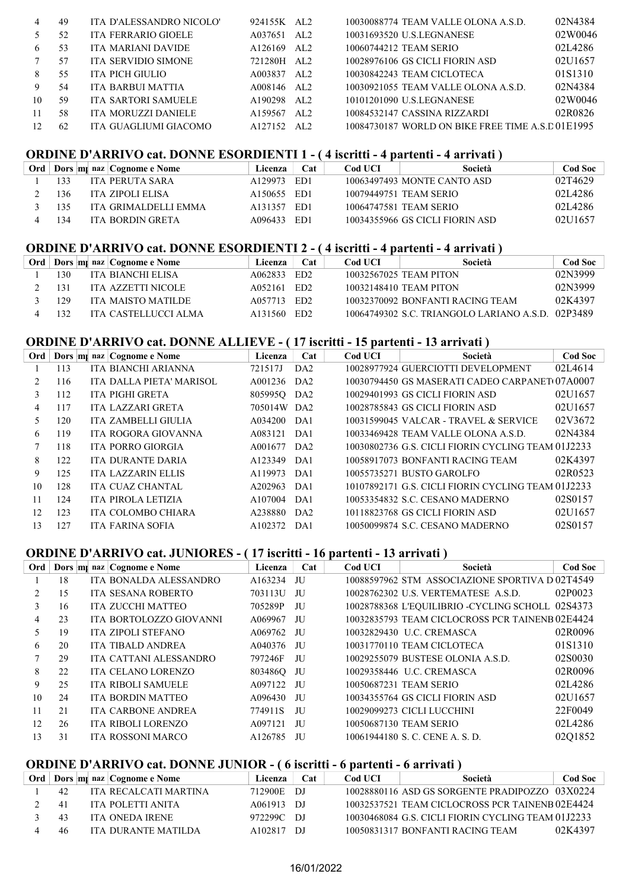| 4  | 49  | ITA D'ALESSANDRO NICOLO'   | 924155K AL2         |                 | 10030088774 TEAM VALLE OLONA A.S.D.              | 02N4384 |
|----|-----|----------------------------|---------------------|-----------------|--------------------------------------------------|---------|
|    | 52  | <b>ITA FERRARIO GIOELE</b> | A037651             | AL2             | 10031693520 U.S.LEGNANESE                        | 02W0046 |
| 6  | 53  | ITA MARIANI DAVIDE         | A <sub>126169</sub> | AL <sub>2</sub> | 10060744212 TEAM SERIO                           | 02L4286 |
|    | 57  | <b>ITA SERVIDIO SIMONE</b> | 721280H             | AL <sub>2</sub> | 10028976106 GS CICLI FIORIN ASD                  | 02U1657 |
| 8  | 55  | ITA PICH GIULIO            | A003837             | AL <sub>2</sub> | 10030842243 TEAM CICLOTECA                       | 01S1310 |
| 9  | 54  | ITA BARBUI MATTIA          | A008146             | AL <sub>2</sub> | 10030921055 TEAM VALLE OLONA A.S.D.              | 02N4384 |
| 10 | -59 | ITA SARTORI SAMUELE        | A190298             | AL <sub>2</sub> | 10101201090 U.S.LEGNANESE                        | 02W0046 |
|    | 58  | ITA MORUZZI DANIELE        | A159567             | AL <sub>2</sub> | 10084532147 CASSINA RIZZARDI                     | 02R0826 |
|    | 62  | ITA GUAGLIUMI GIACOMO      | A127152             | AL2             | 10084730187 WORLD ON BIKE FREE TIME A.S.D01E1995 |         |

# ORDINE D'ARRIVO cat. DONNE ESORDIENTI 1 - ( 4 iscritti - 4 partenti - 4 arrivati )

|     | Ord   Dors   m   naz   Cognome e Nome | <b>Licenza</b>                      | Cat  | Cod UCI | Società                         | <b>Cod Soc</b> |
|-----|---------------------------------------|-------------------------------------|------|---------|---------------------------------|----------------|
| 133 | ITA PERUTA SARA                       | A129973                             | ED1  |         | 10063497493 MONTE CANTO ASD     | 02T4629        |
| 136 | ITA ZIPOLI ELISA                      | A <sub>150655</sub> ED <sub>1</sub> |      |         | 10079449751 TEAM SERIO          | 02L4286        |
| 135 | ITA GRIMALDELLI EMMA                  | A131357                             | -ED1 |         | 10064747581 TEAM SERIO          | 02L4286        |
| -34 | ITA BORDIN GRETA                      | A096433                             | ED1  |         | 10034355966 GS CICLI FIORIN ASD | 02U1657        |

#### ORDINE D'ARRIVO cat. DONNE ESORDIENTI 2 - ( 4 iscritti - 4 partenti - 4 arrivati )

|     | Ord   Dors   m   naz   Cognome e Nome | Licenza     | Cat             | Cod UCI | Società                                           | Cod Soc |
|-----|---------------------------------------|-------------|-----------------|---------|---------------------------------------------------|---------|
| 130 | ITA BIANCHI ELISA                     | A062833     | ED2             |         | 10032567025 TEAM PITON                            | 02N3999 |
| 131 | ITA AZZETTI NICOLE                    | A052161     | ED2             |         | 10032148410 TEAM PITON                            | 02N3999 |
| 129 | ITA MAISTO MATILDE                    | A057713 ED2 |                 |         | 10032370092 BONFANTI RACING TEAM                  | 02K4397 |
| 132 | ITA CASTELLUCCI ALMA                  | A131560     | ED <sub>2</sub> |         | 10064749302 S.C. TRIANGOLO LARIANO A.S.D. 02P3489 |         |

#### ORDINE D'ARRIVO cat. DONNE ALLIEVE - ( 17 iscritti - 15 partenti - 13 arrivati )

| Ord |     | Dors m <sub>l</sub> naz Cognome e Nome | Licenza     | Cat | Cod UCI | Società                                            | <b>Cod Soc</b> |
|-----|-----|----------------------------------------|-------------|-----|---------|----------------------------------------------------|----------------|
|     | 113 | ITA BIANCHI ARIANNA                    | 721517J     | DA2 |         | 10028977924 GUERCIOTTI DEVELOPMENT                 | 02L4614        |
| 2   | 116 | ITA DALLA PIETA' MARISOL               | A001236 DA2 |     |         | 10030794450 GS MASERATI CADEO CARPANET 07A0007     |                |
| 3   | 112 | ITA PIGHI GRETA                        | 805995Q DA2 |     |         | 10029401993 GS CICLI FIORIN ASD                    | 02U1657        |
| 4   | 117 | ITA LAZZARI GRETA                      | 705014W DA2 |     |         | 10028785843 GS CICLI FIORIN ASD                    | 02U1657        |
| 5.  | 120 | ITA ZAMBELLI GIULIA                    | A034200 DA1 |     |         | 10031599045 VALCAR - TRAVEL & SERVICE              | 02V3672        |
| 6   | 119 | ITA ROGORA GIOVANNA                    | A083121 DA1 |     |         | 10033469428 TEAM VALLE OLONA A.S.D.                | 02N4384        |
|     | 118 | ITA PORRO GIORGIA                      | A001677 DA2 |     |         | 10030802736 G.S. CICLI FIORIN CYCLING TEAM 01J2233 |                |
| 8   | 122 | ITA DURANTE DARIA                      | A123349 DA1 |     |         | 10058917073 BONFANTI RACING TEAM                   | 02K4397        |
| 9   | 125 | <b>ITA LAZZARIN ELLIS</b>              | A119973 DA1 |     |         | 10055735271 BUSTO GAROLFO                          | 02R0523        |
| 10  | 128 | ITA CUAZ CHANTAL                       | A202963     | DA1 |         | 10107892171 G.S. CICLI FIORIN CYCLING TEAM 01J2233 |                |
| 11  | 124 | ITA PIROLA LETIZIA                     | A107004     | DA1 |         | 10053354832 S.C. CESANO MADERNO                    | 02S0157        |
| 12  | 123 | ITA COLOMBO CHIARA                     | A238880 DA2 |     |         | 10118823768 GS CICLI FIORIN ASD                    | 02U1657        |
| 13  | 127 | ITA FARINA SOFIA                       | A102372     | DA1 |         | 10050099874 S.C. CESANO MADERNO                    | 02S0157        |

#### ORDINE D'ARRIVO cat. JUNIORES - ( 17 iscritti - 16 partenti - 13 arrivati )

| Ord |    | Dors m naz Cognome e Nome | Licenza | Cat | <b>Cod UCI</b> | Società                                           | <b>Cod Soc</b> |
|-----|----|---------------------------|---------|-----|----------------|---------------------------------------------------|----------------|
|     | 18 | ITA BONALDA ALESSANDRO    | A163234 | JU  |                | 10088597962 STM ASSOCIAZIONE SPORTIVA D 02T4549   |                |
|     | 15 | <b>ITA SESANA ROBERTO</b> | 703113U | -JU |                | 10028762302 U.S. VERTEMATESE A.S.D.               | 02P0023        |
| 3   | 16 | ITA ZUCCHI MATTEO         | 705289P | JU  |                | 10028788368 L'EQUILIBRIO - CYCLING SCHOLL 02S4373 |                |
| 4   | 23 | ITA BORTOLOZZO GIOVANNI   | A069967 | JU  |                | 10032835793 TEAM CICLOCROSS PCR TAINENB 02E4424   |                |
| 5.  | 19 | <b>ITA ZIPOLI STEFANO</b> | A069762 | JU  |                | 10032829430 U.C. CREMASCA                         | 02R0096        |
| 6   | 20 | <b>ITA TIBALD ANDREA</b>  | A040376 | -JU |                | 10031770110 TEAM CICLOTECA                        | 01S1310        |
|     | 29 | ITA CATTANI ALESSANDRO    | 797246F | JU  |                | 10029255079 BUSTESE OLONIA A.S.D.                 | 02S0030        |
| 8   | 22 | <b>ITA CELANO LORENZO</b> | 8034860 | JU  |                | 10029358446 U.C. CREMASCA                         | 02R0096        |
| 9   | 25 | <b>ITA RIBOLI SAMUELE</b> | A097122 | -JU |                | 10050687231 TEAM SERIO                            | 02L4286        |
| 10  | 24 | <b>ITA BORDIN MATTEO</b>  | A096430 | JU  |                | 10034355764 GS CICLI FIORIN ASD                   | 02U1657        |
| 11  | 21 | <b>ITA CARBONE ANDREA</b> | 774911S | JU  |                | 10029099273 CICLI LUCCHINI                        | 22F0049        |
| 12  | 26 | <b>ITA RIBOLI LORENZO</b> | A097121 | JU  |                | 10050687130 TEAM SERIO                            | 02L4286        |
| 13  | 31 | <b>ITA ROSSONI MARCO</b>  | A126785 | JU  |                | 10061944180 S.C. CENE A.S.D.                      | 02Q1852        |

# ORDINE D'ARRIVO cat. DONNE JUNIOR - ( 6 iscritti - 6 partenti - 6 arrivati )

|    | Ord   Dors   m   naz   Cognome e Nome | Licenza    | Cat  | Cod UCL | Società                                            | <b>Cod Soc</b> |
|----|---------------------------------------|------------|------|---------|----------------------------------------------------|----------------|
| 42 | ITA RECALCATI MARTINA                 | 712900E    | - DJ |         | 10028880116 ASD GS SORGENTE PRADIPOZZO 03X0224     |                |
| 41 | ITA POLETTI ANITA                     | A061913 DJ |      |         | 10032537521 TEAM CICLOCROSS PCR TAINENB02E4424     |                |
| 43 | ITA ONEDA IRENE                       | 972299C DJ |      |         | 10030468084 G.S. CICLI FIORIN CYCLING TEAM 01J2233 |                |
| 46 | ITA DURANTE MATILDA                   | A102817    | - DI |         | 10050831317 BONFANTI RACING TEAM                   | 02K4397        |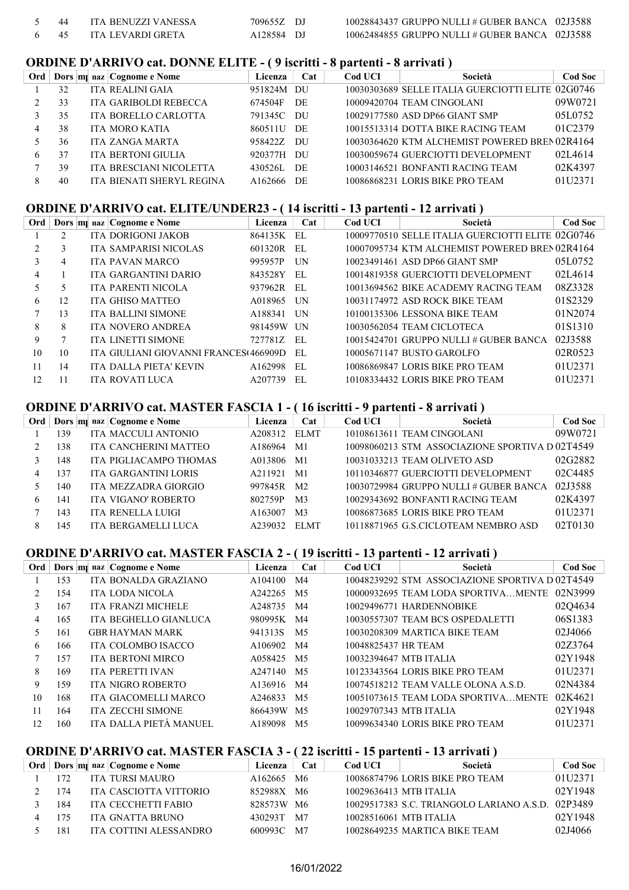|  | ITA BENUZZI VANESSA | 709655Z DJ | $10028843437$ GRUPPO NULLI # GUBER BANCA $02J3588$ |  |
|--|---------------------|------------|----------------------------------------------------|--|
|  | ITA LEVARDI GRETA   | A128584 DJ | $10062484855$ GRUPPO NULLI # GUBER BANCA $02J3588$ |  |

#### ORDINE D'ARRIVO cat. DONNE ELITE - ( 9 iscritti - 8 partenti - 8 arrivati )

| Ord |    | Dors m <sub>i</sub> naz Cognome e Nome | Licenza    | Cat | <b>Cod UCI</b> | Società                                           | <b>Cod Soc</b> |
|-----|----|----------------------------------------|------------|-----|----------------|---------------------------------------------------|----------------|
|     | 32 | <b>ITA REALINI GAIA</b>                | 951824M DU |     |                | 10030303689 SELLE ITALIA GUERCIOTTI ELITE 02G0746 |                |
|     | 33 | ITA GARIBOLDI REBECCA                  | 674504F    | DE  |                | 10009420704 TEAM CINGOLANI                        | 09W0721        |
|     | 35 | ITA BORELLO CARLOTTA                   | 791345C    | DU  |                | 10029177580 ASD DP66 GIANT SMP                    | 05L0752        |
| 4   | 38 | ITA MORO KATIA                         | 860511U DE |     |                | 10015513314 DOTTA BIKE RACING TEAM                | 01C2379        |
|     | 36 | ITA ZANGA MARTA                        | 958422Z DU |     |                | 10030364620 KTM ALCHEMIST POWERED BREN 02R4164    |                |
| 6.  | 37 | ITA BERTONI GIULIA                     | 920377H DU |     |                | 10030059674 GUERCIOTTI DEVELOPMENT                | 02L4614        |
|     | 39 | ITA BRESCIANI NICOLETTA                | 430526L    | DE  |                | 10003146521 BONFANTI RACING TEAM                  | 02K4397        |
|     | 40 | ITA BIENATI SHERYL REGINA              | A162666    | DE  |                | 10086868231 LORIS BIKE PRO TEAM                   | 01U2371        |

#### ORDINE D'ARRIVO cat. ELITE/UNDER23 - ( 14 iscritti - 13 partenti - 12 arrivati )

| Ord            |    | Dors m <sub>i</sub> naz Cognome e Nome | Licenza    | Cat  | <b>Cod UCI</b> | Società                                           | <b>Cod Soc</b> |
|----------------|----|----------------------------------------|------------|------|----------------|---------------------------------------------------|----------------|
|                |    | <b>ITA DORIGONI JAKOB</b>              | 864135K EL |      |                | 10009770510 SELLE ITALIA GUERCIOTTI ELITE 02G0746 |                |
| $\mathfrak{D}$ | 3  | ITA SAMPARISI NICOLAS                  | 601320R    | -EL  |                | 10007095734 KTM ALCHEMIST POWERED BREN 02R4164    |                |
| $\mathcal{E}$  | 4  | ITA PAVAN MARCO                        | 995957P    | UN   |                | 10023491461 ASD DP66 GIANT SMP                    | 05L0752        |
| 4              |    | ITA GARGANTINI DARIO                   | 843528Y EL |      |                | 10014819358 GUERCIOTTI DEVELOPMENT                | 02L4614        |
| 5.             | ╮  | <b>ITA PARENTI NICOLA</b>              | 937962R EL |      |                | 10013694562 BIKE ACADEMY RACING TEAM              | 08Z3328        |
| 6              | 12 | ITA GHISO MATTEO                       | A018965 UN |      |                | 10031174972 ASD ROCK BIKE TEAM                    | 01S2329        |
|                | 13 | <b>ITA BALLINI SIMONE</b>              | A188341 UN |      |                | 10100135306 LESSONA BIKE TEAM                     | 01N2074        |
| 8              | 8  | ITA NOVERO ANDREA                      | 981459W UN |      |                | 10030562054 TEAM CICLOTECA                        | 01S1310        |
| 9              |    | <b>ITA LINETTI SIMONE</b>              | 727781Z EL |      |                | $10015424701$ GRUPPO NULLI # GUBER BANCA          | 02J3588        |
| 10             | 10 | ITA GIULIANI GIOVANNI FRANCES(466909D  |            | - EL |                | 10005671147 BUSTO GAROLFO                         | 02R0523        |
| 11             | 14 | ITA DALLA PIETA' KEVIN                 | A162998    | EL   |                | 10086869847 LORIS BIKE PRO TEAM                   | 01U2371        |
| 12             | 11 | <b>ITA ROVATI LUCA</b>                 | A207739    | EL   |                | 10108334432 LORIS BIKE PRO TEAM                   | 01U2371        |

#### ORDINE D'ARRIVO cat. MASTER FASCIA 1 - ( 16 iscritti - 9 partenti - 8 arrivati )

| Ord |     |  | Dors m <sub>l</sub> naz Cognome e Nome | Licenza | Cat            | Cod UCI | Società                                         | <b>Cod Soc</b> |
|-----|-----|--|----------------------------------------|---------|----------------|---------|-------------------------------------------------|----------------|
|     | 39  |  | ITA MACCULI ANTONIO                    | A208312 | ELMT           |         | 10108613611 TEAM CINGOLANI                      | 09W0721        |
|     | 38  |  | ITA CANCHERINI MATTEO                  | A186964 | M <sub>1</sub> |         | 10098060213 STM ASSOCIAZIONE SPORTIVA D 02T4549 |                |
|     | 148 |  | ITA PIGLIACAMPO THOMAS                 | A013806 | M1             |         | 10031033213 TEAM OLIVETO ASD                    | 02G2882        |
| 4   | -37 |  | ITA GARGANTINI LORIS                   | A211921 | M1             |         | 10110346877 GUERCIOTTI DEVELOPMENT              | 02C4485        |
|     | 140 |  | ITA MEZZADRA GIORGIO                   | 997845R | M <sub>2</sub> |         | 10030729984 GRUPPO NULLI # GUBER BANCA          | 02J3588        |
| 6   | 141 |  | ITA VIGANO' ROBERTO                    | 802759P | M <sub>3</sub> |         | 10029343692 BONFANTI RACING TEAM                | 02K4397        |
|     | 43  |  | ITA RENELLA LUIGI                      | A163007 | M <sub>3</sub> |         | 10086873685 LORIS BIKE PRO TEAM                 | 01U2371        |
| 8   | 45  |  | ITA BERGAMELLI LUCA                    | A239032 | ELMT           |         | 10118871965 G.S.CICLOTEAM NEMBRO ASD            | 02T0130        |

# ORDINE D'ARRIVO cat. MASTER FASCIA 2 - ( 19 iscritti - 13 partenti - 12 arrivati )

| Ord |     | Dors m <sub>i</sub> naz Cognome e Nome | Licenza | Cat            | <b>Cod UCI</b>      | Società                                        | <b>Cod Soc</b> |
|-----|-----|----------------------------------------|---------|----------------|---------------------|------------------------------------------------|----------------|
|     | 153 | ITA BONALDA GRAZIANO                   | A104100 | M4             |                     | 10048239292 STM ASSOCIAZIONE SPORTIVA D02T4549 |                |
|     | 154 | <b>ITA LODA NICOLA</b>                 | A242265 | M <sub>5</sub> |                     | 10000932695 TEAM LODA SPORTIVAMENTE            | 02N3999        |
| 3   | 167 | <b>ITA FRANZI MICHELE</b>              | A248735 | M4             |                     | 10029496771 HARDENNOBIKE                       | 02Q4634        |
| 4   | 165 | ITA BEGHELLO GIANLUCA                  | 980995K | M4             |                     | 10030557307 TEAM BCS OSPEDALETTI               | 06S1383        |
| 5   | 161 | <b>GBR HAYMAN MARK</b>                 | 941313S | M5             |                     | 10030208309 MARTICA BIKE TEAM                  | 02J4066        |
| 6   | 166 | ITA COLOMBO ISACCO                     | A106902 | M4             | 10048825437 HR TEAM |                                                | 02Z3764        |
|     | 157 | <b>ITA BERTONI MIRCO</b>               | A058425 | M5             |                     | 10032394647 MTB ITALIA                         | 02Y1948        |
| 8   | 169 | <b>ITA PERETTI IVAN</b>                | A247140 | M <sub>5</sub> |                     | 10123343564 LORIS BIKE PRO TEAM                | 01U2371        |
| 9   | 159 | <b>ITA NIGRO ROBERTO</b>               | A136916 | M4             |                     | 10074518212 TEAM VALLE OLONA A.S.D.            | 02N4384        |
| 10  | 168 | ITA GIACOMELLI MARCO                   | A246833 | M5             |                     | 10051073615 TEAM LODA SPORTIVAMENTE            | 02K4621        |
| 11  | 164 | <b>ITA ZECCHI SIMONE</b>               | 866439W | M <sub>5</sub> |                     | 10029707343 MTB ITALIA                         | 02Y1948        |
| 12  | 160 | ITA DALLA PIETÀ MANUEL                 | A189098 | M <sub>5</sub> |                     | 10099634340 LORIS BIKE PRO TEAM                | 01U2371        |

# ORDINE D'ARRIVO cat. MASTER FASCIA 3 - ( 22 iscritti - 15 partenti - 13 arrivati )

| Ord |     | Dors m <sub>i</sub> naz Cognome e Nome | Licenza             | Cat | Cod UCI | Società                                           | <b>Cod Soc</b> |
|-----|-----|----------------------------------------|---------------------|-----|---------|---------------------------------------------------|----------------|
|     |     | ITA TURSI MAURO                        | A <sub>162665</sub> | M6  |         | 10086874796 LORIS BIKE PRO TEAM                   | 01U2371        |
|     | 74  | ITA CASCIOTTA VITTORIO                 | 852988X M6          |     |         | 10029636413 MTB ITALIA                            | 02Y1948        |
|     | 184 | ITA CECCHETTI FABIO                    | 828573W M6          |     |         | 10029517383 S.C. TRIANGOLO LARIANO A.S.D. 02P3489 |                |
|     |     | ITA GNATTA BRUNO                       | 430293T             | M7  |         | 10028516061 MTB ITALIA                            | 02Y1948        |
|     | 181 | ITA COTTINI ALESSANDRO                 | 600993C             | M7  |         | 10028649235 MARTICA BIKE TEAM                     | 02J4066        |